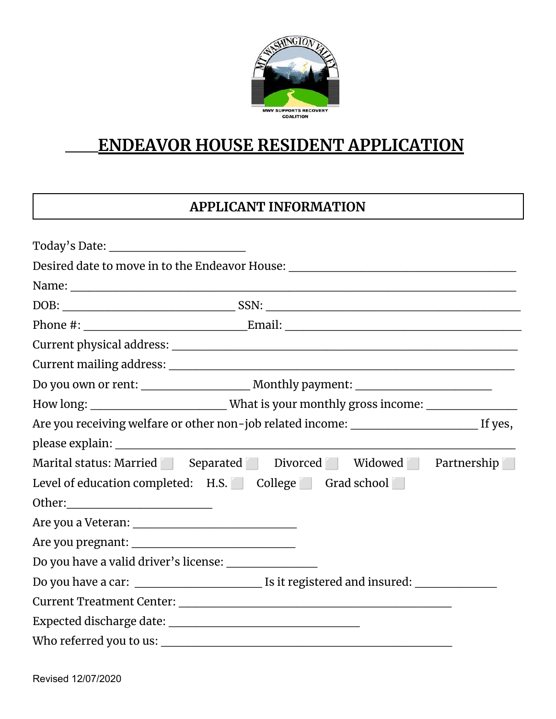

## **ENDEAVOR HOUSE RESIDENT APPLICATION**

## **APPLICANT INFORMATION**

|                                                        | Desired date to move in to the Endeavor House: _________________________________                    |  |  |
|--------------------------------------------------------|-----------------------------------------------------------------------------------------------------|--|--|
|                                                        |                                                                                                     |  |  |
|                                                        |                                                                                                     |  |  |
|                                                        |                                                                                                     |  |  |
|                                                        |                                                                                                     |  |  |
|                                                        |                                                                                                     |  |  |
|                                                        |                                                                                                     |  |  |
|                                                        | How long: _____________________________What is your monthly gross income: _________________________ |  |  |
|                                                        |                                                                                                     |  |  |
|                                                        |                                                                                                     |  |  |
|                                                        | Marital status: Married Separated Divorced Widowed Partnership                                      |  |  |
| Level of education completed: H.S. College Grad school |                                                                                                     |  |  |
|                                                        |                                                                                                     |  |  |
|                                                        |                                                                                                     |  |  |
|                                                        |                                                                                                     |  |  |
| Do you have a valid driver's license: ________________ |                                                                                                     |  |  |
|                                                        |                                                                                                     |  |  |
|                                                        |                                                                                                     |  |  |
|                                                        |                                                                                                     |  |  |
|                                                        |                                                                                                     |  |  |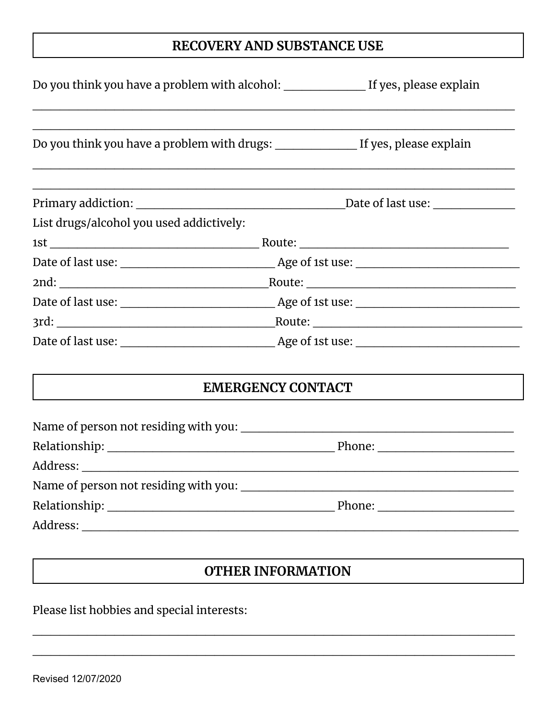## **RECOVERY AND SUBSTANCE USE**

| List drugs/alcohol you used addictively: |                                               |  |
|------------------------------------------|-----------------------------------------------|--|
|                                          |                                               |  |
|                                          |                                               |  |
|                                          |                                               |  |
|                                          |                                               |  |
|                                          |                                               |  |
|                                          |                                               |  |
|                                          | <b>EMERGENCY CONTACT</b>                      |  |
|                                          |                                               |  |
|                                          |                                               |  |
|                                          |                                               |  |
| Name of person not residing with you:    | <u> 1989 - Andrea Andrew Maria (h. 1989).</u> |  |
|                                          |                                               |  |
|                                          |                                               |  |
|                                          |                                               |  |

## **OTHER INFORMATION**

 $\mathcal{L}_\text{max}$  , and the contract of the contract of the contract of the contract of the contract of the contract of the contract of the contract of the contract of the contract of the contract of the contract of the contr

 $\mathcal{L}_\text{max}$  , and the contract of the contract of the contract of the contract of the contract of the contract of the contract of the contract of the contract of the contract of the contract of the contract of the contr

Please list hobbies and special interests: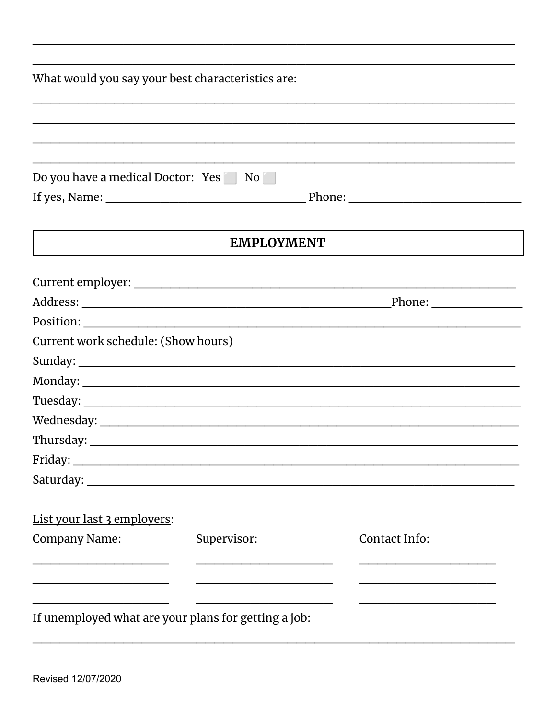|                                                                                                                      | What would you say your best characteristics are: |               |
|----------------------------------------------------------------------------------------------------------------------|---------------------------------------------------|---------------|
|                                                                                                                      |                                                   |               |
|                                                                                                                      |                                                   |               |
|                                                                                                                      |                                                   |               |
| Do you have a medical Doctor: Yes No                                                                                 |                                                   |               |
|                                                                                                                      |                                                   |               |
|                                                                                                                      |                                                   |               |
|                                                                                                                      | <b>EMPLOYMENT</b>                                 |               |
|                                                                                                                      |                                                   |               |
|                                                                                                                      |                                                   |               |
|                                                                                                                      |                                                   |               |
|                                                                                                                      |                                                   |               |
| Current work schedule: (Show hours)                                                                                  |                                                   |               |
|                                                                                                                      |                                                   |               |
|                                                                                                                      |                                                   |               |
|                                                                                                                      |                                                   |               |
|                                                                                                                      |                                                   |               |
|                                                                                                                      |                                                   |               |
| Friday:                                                                                                              |                                                   |               |
|                                                                                                                      |                                                   |               |
| List your last 3 employers:                                                                                          |                                                   |               |
| <b>Company Name:</b>                                                                                                 | Supervisor:                                       | Contact Info: |
| <u> 1989 - Johann John Stone, meister sich ausgesondert und der Stone und der Stone und der Stone und der Stone </u> |                                                   |               |
|                                                                                                                      |                                                   |               |
|                                                                                                                      |                                                   |               |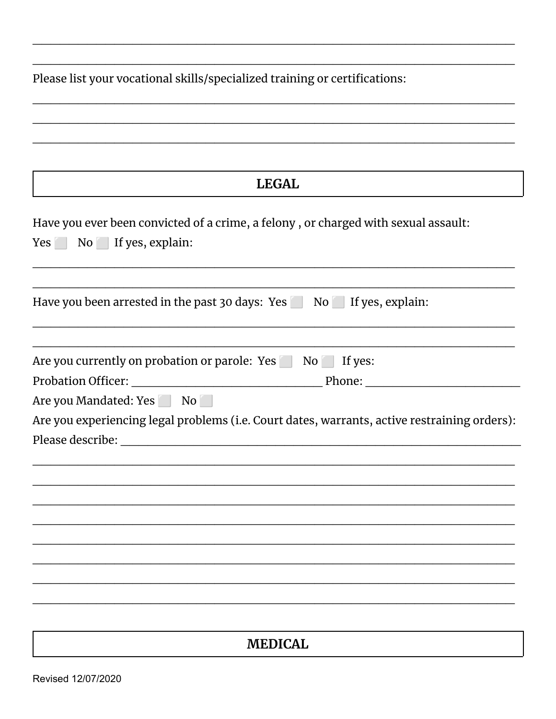Please list your vocational skills/specialized training or certifications:

| <b>LEGAL</b>                                                                                 |
|----------------------------------------------------------------------------------------------|
| Have you ever been convicted of a crime, a felony, or charged with sexual assault:           |
| Yes No If yes, explain:                                                                      |
|                                                                                              |
| Have you been arrested in the past 30 days: Yes No I f yes, explain:                         |
|                                                                                              |
| Are you currently on probation or parole: Yes No Striggs:                                    |
| Are you Mandated: Yes No                                                                     |
| Are you experiencing legal problems (i.e. Court dates, warrants, active restraining orders): |
|                                                                                              |
|                                                                                              |
|                                                                                              |
|                                                                                              |
|                                                                                              |
|                                                                                              |
|                                                                                              |
|                                                                                              |
|                                                                                              |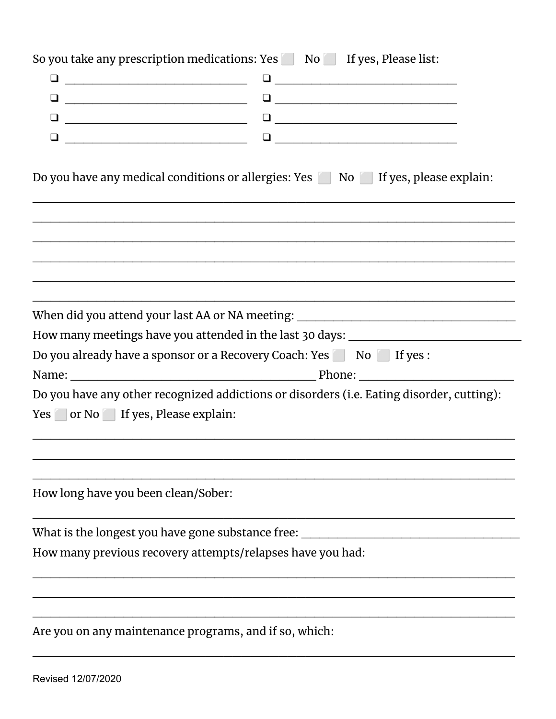|                                                                  | So you take any prescription medications: Yes No Kingdyn If yes, Please list:             |  |  |
|------------------------------------------------------------------|-------------------------------------------------------------------------------------------|--|--|
|                                                                  |                                                                                           |  |  |
|                                                                  |                                                                                           |  |  |
|                                                                  |                                                                                           |  |  |
|                                                                  |                                                                                           |  |  |
|                                                                  |                                                                                           |  |  |
|                                                                  | Do you have any medical conditions or allergies: Yes No Subsetty of yes, please explain:  |  |  |
|                                                                  |                                                                                           |  |  |
|                                                                  | When did you attend your last AA or NA meeting: ________________________________          |  |  |
|                                                                  | How many meetings have you attended in the last 30 days: _______________________          |  |  |
| Do you already have a sponsor or a Recovery Coach: Yes No Higes: |                                                                                           |  |  |
|                                                                  |                                                                                           |  |  |
| Yes or No If yes, Please explain:                                | Do you have any other recognized addictions or disorders (i.e. Eating disorder, cutting): |  |  |
| How long have you been clean/Sober:                              |                                                                                           |  |  |
| What is the longest you have gone substance free:                |                                                                                           |  |  |
| How many previous recovery attempts/relapses have you had:       |                                                                                           |  |  |
|                                                                  |                                                                                           |  |  |
| Are you on any maintenance programs, and if so, which:           |                                                                                           |  |  |

 $\mathcal{L}_\text{max}$  , and the contract of the contract of the contract of the contract of the contract of the contract of the contract of the contract of the contract of the contract of the contract of the contract of the contr